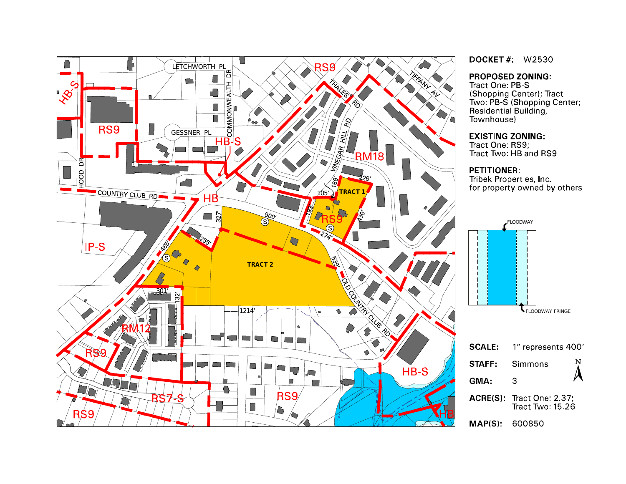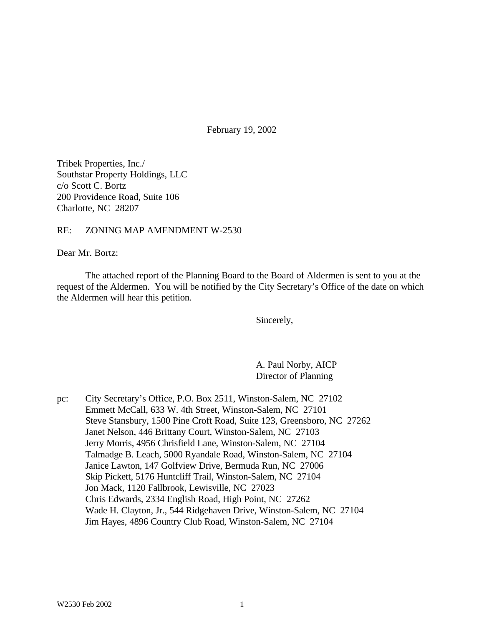February 19, 2002

Tribek Properties, Inc./ Southstar Property Holdings, LLC c/o Scott C. Bortz 200 Providence Road, Suite 106 Charlotte, NC 28207

#### RE: ZONING MAP AMENDMENT W-2530

Dear Mr. Bortz:

The attached report of the Planning Board to the Board of Aldermen is sent to you at the request of the Aldermen. You will be notified by the City Secretary's Office of the date on which the Aldermen will hear this petition.

Sincerely,

A. Paul Norby, AICP Director of Planning

pc: City Secretary's Office, P.O. Box 2511, Winston-Salem, NC 27102 Emmett McCall, 633 W. 4th Street, Winston-Salem, NC 27101 Steve Stansbury, 1500 Pine Croft Road, Suite 123, Greensboro, NC 27262 Janet Nelson, 446 Brittany Court, Winston-Salem, NC 27103 Jerry Morris, 4956 Chrisfield Lane, Winston-Salem, NC 27104 Talmadge B. Leach, 5000 Ryandale Road, Winston-Salem, NC 27104 Janice Lawton, 147 Golfview Drive, Bermuda Run, NC 27006 Skip Pickett, 5176 Huntcliff Trail, Winston-Salem, NC 27104 Jon Mack, 1120 Fallbrook, Lewisville, NC 27023 Chris Edwards, 2334 English Road, High Point, NC 27262 Wade H. Clayton, Jr., 544 Ridgehaven Drive, Winston-Salem, NC 27104 Jim Hayes, 4896 Country Club Road, Winston-Salem, NC 27104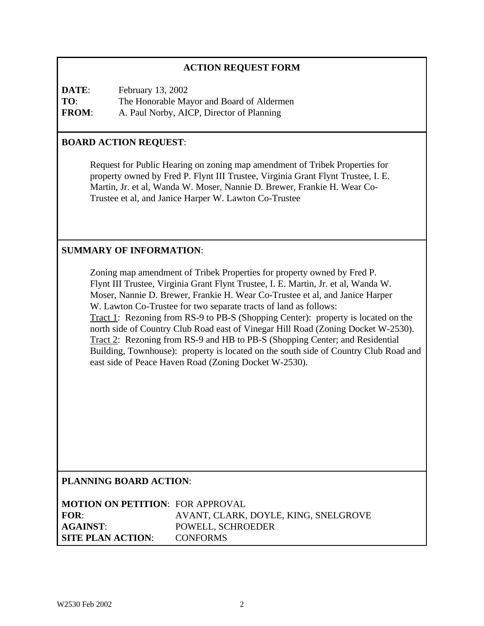## **ACTION REQUEST FORM**

**DATE:** February 13, 2002 **TO**: The Honorable Mayor and Board of Aldermen **FROM**: A. Paul Norby, AICP, Director of Planning

### **BOARD ACTION REQUEST**:

Request for Public Hearing on zoning map amendment of Tribek Properties for property owned by Fred P. Flynt III Trustee, Virginia Grant Flynt Trustee, I. E. Martin, Jr. et al, Wanda W. Moser, Nannie D. Brewer, Frankie H. Wear Co-Trustee et al, and Janice Harper W. Lawton Co-Trustee

### **SUMMARY OF INFORMATION**:

Zoning map amendment of Tribek Properties for property owned by Fred P. Flynt III Trustee, Virginia Grant Flynt Trustee, I. E. Martin, Jr. et al, Wanda W. Moser, Nannie D. Brewer, Frankie H. Wear Co-Trustee et al, and Janice Harper W. Lawton Co-Trustee for two separate tracts of land as follows: Tract 1: Rezoning from RS-9 to PB-S (Shopping Center): property is located on the north side of Country Club Road east of Vinegar Hill Road (Zoning Docket W-2530). Tract 2: Rezoning from RS-9 and HB to PB-S (Shopping Center; and Residential Building, Townhouse): property is located on the south side of Country Club Road and east side of Peace Haven Road (Zoning Docket W-2530).

#### **PLANNING BOARD ACTION**:

| <b>MOTION ON PETITION: FOR APPROVAL</b> |                                      |
|-----------------------------------------|--------------------------------------|
| FOR:                                    | AVANT, CLARK, DOYLE, KING, SNELGROVE |
| AGAINST:                                | POWELL, SCHROEDER                    |
| <b>SITE PLAN ACTION:</b>                | <b>CONFORMS</b>                      |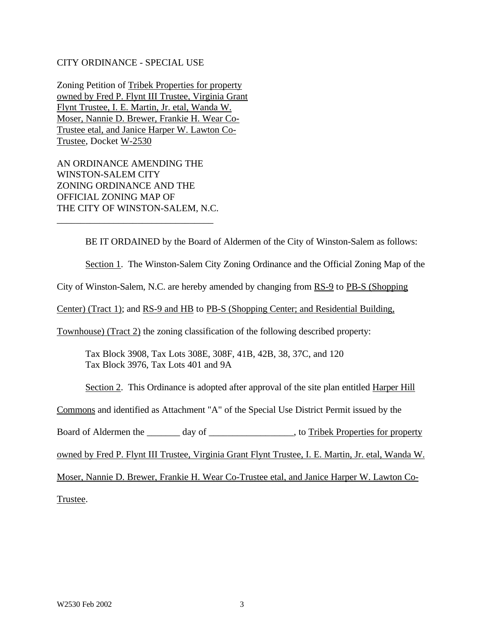#### CITY ORDINANCE - SPECIAL USE

Zoning Petition of Tribek Properties for property owned by Fred P. Flynt III Trustee, Virginia Grant Flynt Trustee, I. E. Martin, Jr. etal, Wanda W. Moser, Nannie D. Brewer, Frankie H. Wear Co-Trustee etal, and Janice Harper W. Lawton Co-Trustee, Docket W-2530

AN ORDINANCE AMENDING THE WINSTON-SALEM CITY ZONING ORDINANCE AND THE OFFICIAL ZONING MAP OF THE CITY OF WINSTON-SALEM, N.C.

\_\_\_\_\_\_\_\_\_\_\_\_\_\_\_\_\_\_\_\_\_\_\_\_\_\_\_\_\_\_\_\_\_

BE IT ORDAINED by the Board of Aldermen of the City of Winston-Salem as follows:

Section 1. The Winston-Salem City Zoning Ordinance and the Official Zoning Map of the

City of Winston-Salem, N.C. are hereby amended by changing from RS-9 to PB-S (Shopping

Center) (Tract 1); and RS-9 and HB to PB-S (Shopping Center; and Residential Building,

Townhouse) (Tract 2) the zoning classification of the following described property:

Tax Block 3908, Tax Lots 308E, 308F, 41B, 42B, 38, 37C, and 120 Tax Block 3976, Tax Lots 401 and 9A

Section 2. This Ordinance is adopted after approval of the site plan entitled Harper Hill

Commons and identified as Attachment "A" of the Special Use District Permit issued by the

Board of Aldermen the day of the case of the state of  $\alpha$  and  $\alpha$  and  $\alpha$  of the Properties for property

owned by Fred P. Flynt III Trustee, Virginia Grant Flynt Trustee, I. E. Martin, Jr. etal, Wanda W.

Moser, Nannie D. Brewer, Frankie H. Wear Co-Trustee etal, and Janice Harper W. Lawton Co-

Trustee.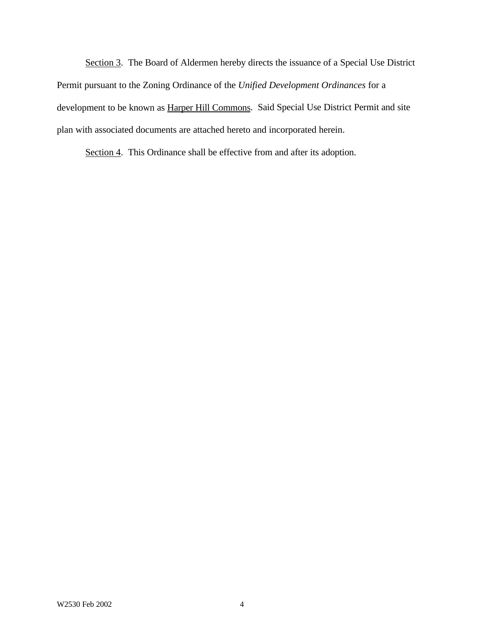Section 3. The Board of Aldermen hereby directs the issuance of a Special Use District Permit pursuant to the Zoning Ordinance of the *Unified Development Ordinances* for a development to be known as Harper Hill Commons. Said Special Use District Permit and site plan with associated documents are attached hereto and incorporated herein.

Section 4. This Ordinance shall be effective from and after its adoption.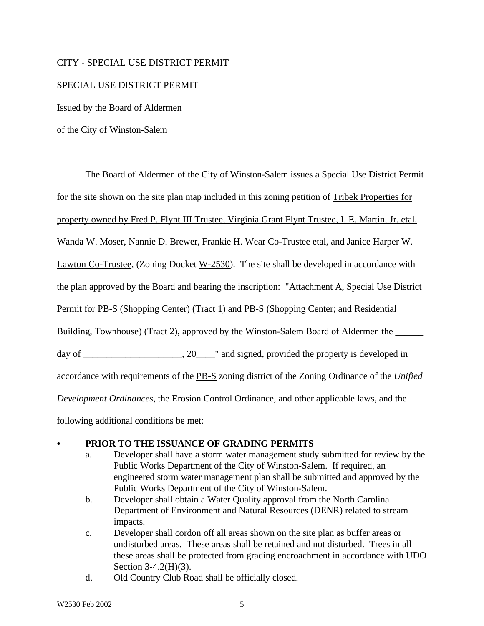### CITY - SPECIAL USE DISTRICT PERMIT

#### SPECIAL USE DISTRICT PERMIT

Issued by the Board of Aldermen

of the City of Winston-Salem

The Board of Aldermen of the City of Winston-Salem issues a Special Use District Permit for the site shown on the site plan map included in this zoning petition of Tribek Properties for property owned by Fred P. Flynt III Trustee, Virginia Grant Flynt Trustee, I. E. Martin, Jr. etal, Wanda W. Moser, Nannie D. Brewer, Frankie H. Wear Co-Trustee etal, and Janice Harper W. Lawton Co-Trustee, (Zoning Docket W-2530). The site shall be developed in accordance with the plan approved by the Board and bearing the inscription: "Attachment A, Special Use District Permit for PB-S (Shopping Center) (Tract 1) and PB-S (Shopping Center; and Residential Building, Townhouse) (Tract 2), approved by the Winston-Salem Board of Aldermen the day of  $\qquad \qquad .20 \qquad$  " and signed, provided the property is developed in accordance with requirements of the PB-S zoning district of the Zoning Ordinance of the *Unified Development Ordinances*, the Erosion Control Ordinance, and other applicable laws, and the

following additional conditions be met:

### PRIOR TO THE ISSUANCE OF GRADING PERMITS

- a. Developer shall have a storm water management study submitted for review by the Public Works Department of the City of Winston-Salem. If required, an engineered storm water management plan shall be submitted and approved by the Public Works Department of the City of Winston-Salem.
- b. Developer shall obtain a Water Quality approval from the North Carolina Department of Environment and Natural Resources (DENR) related to stream impacts.
- c. Developer shall cordon off all areas shown on the site plan as buffer areas or undisturbed areas. These areas shall be retained and not disturbed. Trees in all these areas shall be protected from grading encroachment in accordance with UDO Section 3-4.2(H)(3).
- d. Old Country Club Road shall be officially closed.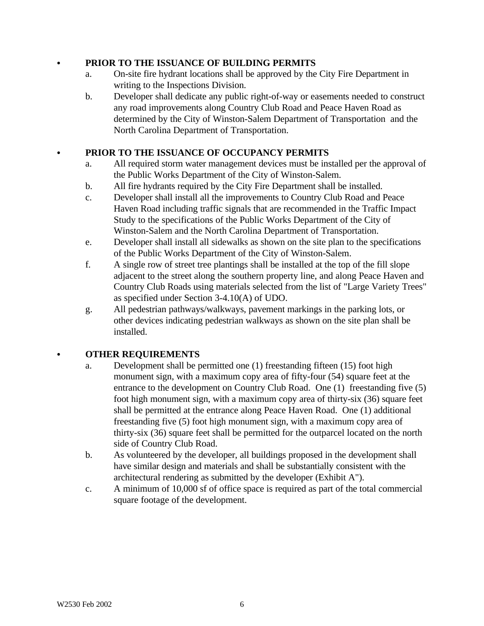### C **PRIOR TO THE ISSUANCE OF BUILDING PERMITS**

- a. On-site fire hydrant locations shall be approved by the City Fire Department in writing to the Inspections Division.
- b. Developer shall dedicate any public right-of-way or easements needed to construct any road improvements along Country Club Road and Peace Haven Road as determined by the City of Winston-Salem Department of Transportation and the North Carolina Department of Transportation.

## PRIOR TO THE ISSUANCE OF OCCUPANCY PERMITS

- a. All required storm water management devices must be installed per the approval of the Public Works Department of the City of Winston-Salem.
- b. All fire hydrants required by the City Fire Department shall be installed.
- c. Developer shall install all the improvements to Country Club Road and Peace Haven Road including traffic signals that are recommended in the Traffic Impact Study to the specifications of the Public Works Department of the City of Winston-Salem and the North Carolina Department of Transportation.
- e. Developer shall install all sidewalks as shown on the site plan to the specifications of the Public Works Department of the City of Winston-Salem.
- f. A single row of street tree plantings shall be installed at the top of the fill slope adjacent to the street along the southern property line, and along Peace Haven and Country Club Roads using materials selected from the list of "Large Variety Trees" as specified under Section 3-4.10(A) of UDO.
- g. All pedestrian pathways/walkways, pavement markings in the parking lots, or other devices indicating pedestrian walkways as shown on the site plan shall be installed.

## C **OTHER REQUIREMENTS**

- a. Development shall be permitted one (1) freestanding fifteen (15) foot high monument sign, with a maximum copy area of fifty-four (54) square feet at the entrance to the development on Country Club Road. One (1) freestanding five (5) foot high monument sign, with a maximum copy area of thirty-six (36) square feet shall be permitted at the entrance along Peace Haven Road. One (1) additional freestanding five (5) foot high monument sign, with a maximum copy area of thirty-six (36) square feet shall be permitted for the outparcel located on the north side of Country Club Road.
- b. As volunteered by the developer, all buildings proposed in the development shall have similar design and materials and shall be substantially consistent with the architectural rendering as submitted by the developer (Exhibit A").
- c. A minimum of 10,000 sf of office space is required as part of the total commercial square footage of the development.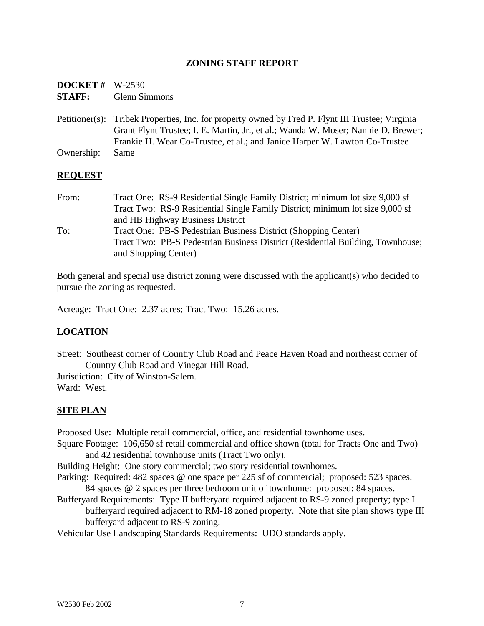### **ZONING STAFF REPORT**

| <b>DOCKET</b> # $W-2530$ |                      |
|--------------------------|----------------------|
| <b>STAFF:</b>            | <b>Glenn Simmons</b> |

Petitioner(s): Tribek Properties, Inc. for property owned by Fred P. Flynt III Trustee; Virginia Grant Flynt Trustee; I. E. Martin, Jr., et al.; Wanda W. Moser; Nannie D. Brewer; Frankie H. Wear Co-Trustee, et al.; and Janice Harper W. Lawton Co-Trustee Ownership: Same

#### **REQUEST**

From: Tract One: RS-9 Residential Single Family District; minimum lot size 9,000 sf Tract Two: RS-9 Residential Single Family District; minimum lot size 9,000 sf and HB Highway Business District To: Tract One: PB-S Pedestrian Business District (Shopping Center) Tract Two: PB-S Pedestrian Business District (Residential Building, Townhouse; and Shopping Center)

Both general and special use district zoning were discussed with the applicant(s) who decided to pursue the zoning as requested.

Acreage: Tract One: 2.37 acres; Tract Two: 15.26 acres.

## **LOCATION**

Street: Southeast corner of Country Club Road and Peace Haven Road and northeast corner of Country Club Road and Vinegar Hill Road.

Jurisdiction: City of Winston-Salem. Ward: West.

## **SITE PLAN**

Proposed Use: Multiple retail commercial, office, and residential townhome uses.

Square Footage: 106,650 sf retail commercial and office shown (total for Tracts One and Two) and 42 residential townhouse units (Tract Two only).

Building Height: One story commercial; two story residential townhomes.

- Parking: Required: 482 spaces @ one space per 225 sf of commercial; proposed: 523 spaces. 84 spaces @ 2 spaces per three bedroom unit of townhome: proposed: 84 spaces.
- Bufferyard Requirements: Type II bufferyard required adjacent to RS-9 zoned property; type I bufferyard required adjacent to RM-18 zoned property. Note that site plan shows type III bufferyard adjacent to RS-9 zoning.

Vehicular Use Landscaping Standards Requirements: UDO standards apply.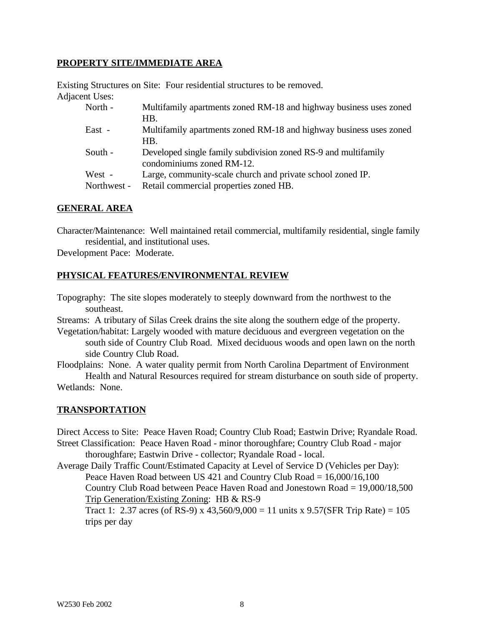### **PROPERTY SITE/IMMEDIATE AREA**

Existing Structures on Site: Four residential structures to be removed. Adjacent Uses:

| North -               | Multifamily apartments zoned RM-18 and highway business uses zoned<br>HB.                            |
|-----------------------|------------------------------------------------------------------------------------------------------|
| East -                | Multifamily apartments zoned RM-18 and highway business uses zoned<br>HB.                            |
| South -               | Developed single family subdivision zoned RS-9 and multifamily<br>condominiums zoned RM-12.          |
| West -<br>Northwest - | Large, community-scale church and private school zoned IP.<br>Retail commercial properties zoned HB. |

#### **GENERAL AREA**

Character/Maintenance: Well maintained retail commercial, multifamily residential, single family residential, and institutional uses.

Development Pace: Moderate.

#### **PHYSICAL FEATURES/ENVIRONMENTAL REVIEW**

Topography: The site slopes moderately to steeply downward from the northwest to the southeast.

Streams: A tributary of Silas Creek drains the site along the southern edge of the property.

Vegetation/habitat: Largely wooded with mature deciduous and evergreen vegetation on the south side of Country Club Road. Mixed deciduous woods and open lawn on the north side Country Club Road.

Floodplains: None. A water quality permit from North Carolina Department of Environment Health and Natural Resources required for stream disturbance on south side of property.

Wetlands: None.

#### **TRANSPORTATION**

Direct Access to Site: Peace Haven Road; Country Club Road; Eastwin Drive; Ryandale Road. Street Classification: Peace Haven Road - minor thoroughfare; Country Club Road - major

thoroughfare; Eastwin Drive - collector; Ryandale Road - local.

Average Daily Traffic Count/Estimated Capacity at Level of Service D (Vehicles per Day): Peace Haven Road between US 421 and Country Club Road  $= 16,000/16,100$ 

Country Club Road between Peace Haven Road and Jonestown Road = 19,000/18,500 Trip Generation/Existing Zoning: HB & RS-9

Tract 1: 2.37 acres (of RS-9) x 43,560/9,000 = 11 units x 9.57(SFR Trip Rate) =  $105$ trips per day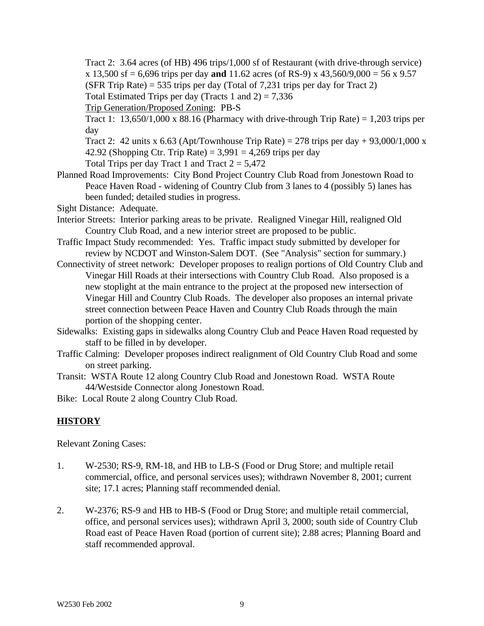Tract 2: 3.64 acres (of HB) 496 trips/1,000 sf of Restaurant (with drive-through service) x 13,500 sf = 6,696 trips per day **and** 11.62 acres (of RS-9) x 43,560/9,000 = 56 x 9.57 (SFR Trip Rate) = 535 trips per day (Total of 7,231 trips per day for Tract 2) Total Estimated Trips per day (Tracts 1 and  $2$ ) = 7,336

Trip Generation/Proposed Zoning: PB-S

Tract 1:  $13,650/1,000 \times 88.16$  (Pharmacy with drive-through Trip Rate) = 1,203 trips per day

Tract 2: 42 units x 6.63 (Apt/Townhouse Trip Rate) = 278 trips per day + 93,000/1,000 x 42.92 (Shopping Ctr. Trip Rate) =  $3,991 = 4,269$  trips per day

Total Trips per day Tract 1 and Tract  $2 = 5,472$ 

Planned Road Improvements: City Bond Project Country Club Road from Jonestown Road to Peace Haven Road - widening of Country Club from 3 lanes to 4 (possibly 5) lanes has been funded; detailed studies in progress.

Sight Distance: Adequate.

- Interior Streets: Interior parking areas to be private. Realigned Vinegar Hill, realigned Old Country Club Road, and a new interior street are proposed to be public.
- Traffic Impact Study recommended: Yes. Traffic impact study submitted by developer for review by NCDOT and Winston-Salem DOT. (See "Analysis" section for summary.)
- Connectivity of street network: Developer proposes to realign portions of Old Country Club and Vinegar Hill Roads at their intersections with Country Club Road. Also proposed is a new stoplight at the main entrance to the project at the proposed new intersection of Vinegar Hill and Country Club Roads. The developer also proposes an internal private street connection between Peace Haven and Country Club Roads through the main portion of the shopping center.
- Sidewalks: Existing gaps in sidewalks along Country Club and Peace Haven Road requested by staff to be filled in by developer.
- Traffic Calming: Developer proposes indirect realignment of Old Country Club Road and some on street parking.
- Transit: WSTA Route 12 along Country Club Road and Jonestown Road. WSTA Route 44/Westside Connector along Jonestown Road.

Bike: Local Route 2 along Country Club Road.

# **HISTORY**

Relevant Zoning Cases:

- 1. W-2530; RS-9, RM-18, and HB to LB-S (Food or Drug Store; and multiple retail commercial, office, and personal services uses); withdrawn November 8, 2001; current site; 17.1 acres; Planning staff recommended denial.
- 2. W-2376; RS-9 and HB to HB-S (Food or Drug Store; and multiple retail commercial, office, and personal services uses); withdrawn April 3, 2000; south side of Country Club Road east of Peace Haven Road (portion of current site); 2.88 acres; Planning Board and staff recommended approval.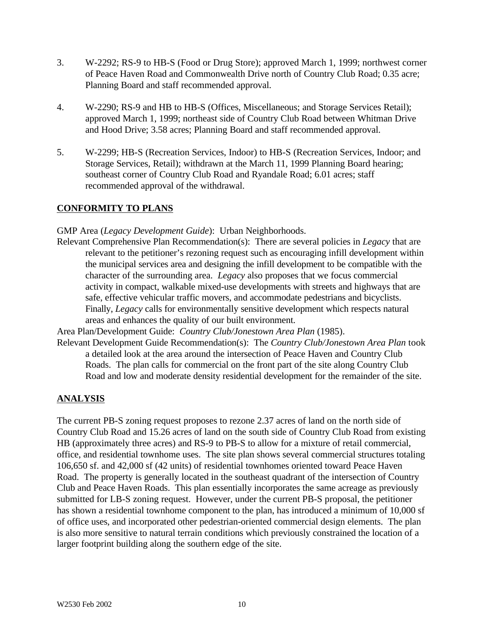- 3. W-2292; RS-9 to HB-S (Food or Drug Store); approved March 1, 1999; northwest corner of Peace Haven Road and Commonwealth Drive north of Country Club Road; 0.35 acre; Planning Board and staff recommended approval.
- 4. W-2290; RS-9 and HB to HB-S (Offices, Miscellaneous; and Storage Services Retail); approved March 1, 1999; northeast side of Country Club Road between Whitman Drive and Hood Drive; 3.58 acres; Planning Board and staff recommended approval.
- 5. W-2299; HB-S (Recreation Services, Indoor) to HB-S (Recreation Services, Indoor; and Storage Services, Retail); withdrawn at the March 11, 1999 Planning Board hearing; southeast corner of Country Club Road and Ryandale Road; 6.01 acres; staff recommended approval of the withdrawal.

## **CONFORMITY TO PLANS**

GMP Area (*Legacy Development Guide*): Urban Neighborhoods.

Relevant Comprehensive Plan Recommendation(s): There are several policies in *Legacy* that are relevant to the petitioner's rezoning request such as encouraging infill development within the municipal services area and designing the infill development to be compatible with the character of the surrounding area. *Legacy* also proposes that we focus commercial activity in compact, walkable mixed-use developments with streets and highways that are safe, effective vehicular traffic movers, and accommodate pedestrians and bicyclists. Finally, *Legacy* calls for environmentally sensitive development which respects natural areas and enhances the quality of our built environment.

Area Plan/Development Guide: *Country Club/Jonestown Area Plan* (1985).

Relevant Development Guide Recommendation(s): The *Country Club/Jonestown Area Plan* took a detailed look at the area around the intersection of Peace Haven and Country Club Roads. The plan calls for commercial on the front part of the site along Country Club Road and low and moderate density residential development for the remainder of the site.

# **ANALYSIS**

The current PB-S zoning request proposes to rezone 2.37 acres of land on the north side of Country Club Road and 15.26 acres of land on the south side of Country Club Road from existing HB (approximately three acres) and RS-9 to PB-S to allow for a mixture of retail commercial, office, and residential townhome uses. The site plan shows several commercial structures totaling 106,650 sf. and 42,000 sf (42 units) of residential townhomes oriented toward Peace Haven Road. The property is generally located in the southeast quadrant of the intersection of Country Club and Peace Haven Roads. This plan essentially incorporates the same acreage as previously submitted for LB-S zoning request. However, under the current PB-S proposal, the petitioner has shown a residential townhome component to the plan, has introduced a minimum of 10,000 sf of office uses, and incorporated other pedestrian-oriented commercial design elements. The plan is also more sensitive to natural terrain conditions which previously constrained the location of a larger footprint building along the southern edge of the site.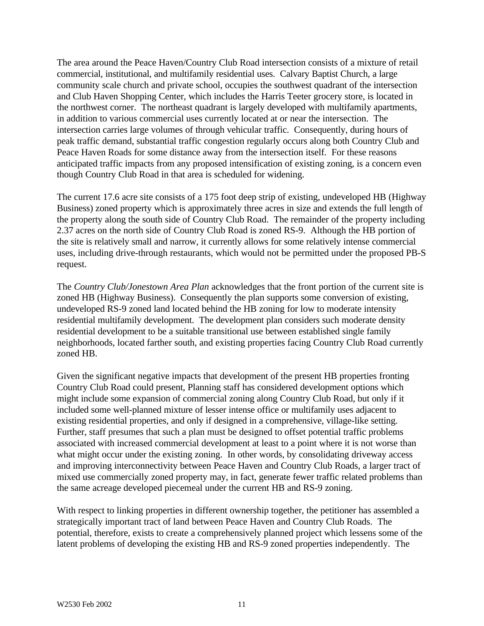The area around the Peace Haven/Country Club Road intersection consists of a mixture of retail commercial, institutional, and multifamily residential uses. Calvary Baptist Church, a large community scale church and private school, occupies the southwest quadrant of the intersection and Club Haven Shopping Center, which includes the Harris Teeter grocery store, is located in the northwest corner. The northeast quadrant is largely developed with multifamily apartments, in addition to various commercial uses currently located at or near the intersection. The intersection carries large volumes of through vehicular traffic. Consequently, during hours of peak traffic demand, substantial traffic congestion regularly occurs along both Country Club and Peace Haven Roads for some distance away from the intersection itself. For these reasons anticipated traffic impacts from any proposed intensification of existing zoning, is a concern even though Country Club Road in that area is scheduled for widening.

The current 17.6 acre site consists of a 175 foot deep strip of existing, undeveloped HB (Highway Business) zoned property which is approximately three acres in size and extends the full length of the property along the south side of Country Club Road. The remainder of the property including 2.37 acres on the north side of Country Club Road is zoned RS-9. Although the HB portion of the site is relatively small and narrow, it currently allows for some relatively intense commercial uses, including drive-through restaurants, which would not be permitted under the proposed PB-S request.

The *Country Club/Jonestown Area Plan* acknowledges that the front portion of the current site is zoned HB (Highway Business). Consequently the plan supports some conversion of existing, undeveloped RS-9 zoned land located behind the HB zoning for low to moderate intensity residential multifamily development. The development plan considers such moderate density residential development to be a suitable transitional use between established single family neighborhoods, located farther south, and existing properties facing Country Club Road currently zoned HB.

Given the significant negative impacts that development of the present HB properties fronting Country Club Road could present, Planning staff has considered development options which might include some expansion of commercial zoning along Country Club Road, but only if it included some well-planned mixture of lesser intense office or multifamily uses adjacent to existing residential properties, and only if designed in a comprehensive, village-like setting. Further, staff presumes that such a plan must be designed to offset potential traffic problems associated with increased commercial development at least to a point where it is not worse than what might occur under the existing zoning. In other words, by consolidating driveway access and improving interconnectivity between Peace Haven and Country Club Roads, a larger tract of mixed use commercially zoned property may, in fact, generate fewer traffic related problems than the same acreage developed piecemeal under the current HB and RS-9 zoning.

With respect to linking properties in different ownership together, the petitioner has assembled a strategically important tract of land between Peace Haven and Country Club Roads. The potential, therefore, exists to create a comprehensively planned project which lessens some of the latent problems of developing the existing HB and RS-9 zoned properties independently. The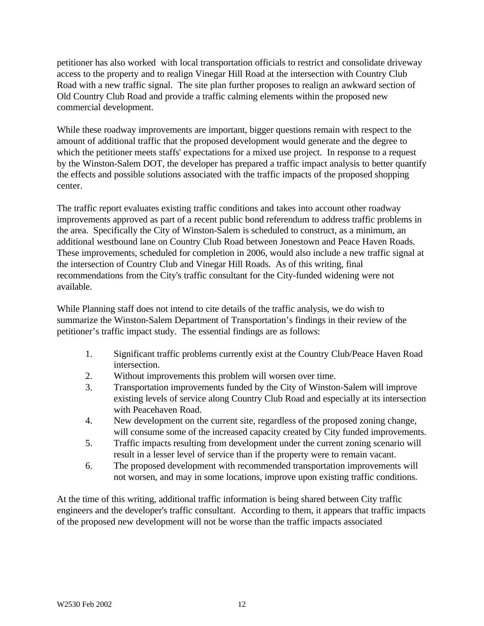petitioner has also worked with local transportation officials to restrict and consolidate driveway access to the property and to realign Vinegar Hill Road at the intersection with Country Club Road with a new traffic signal. The site plan further proposes to realign an awkward section of Old Country Club Road and provide a traffic calming elements within the proposed new commercial development.

While these roadway improvements are important, bigger questions remain with respect to the amount of additional traffic that the proposed development would generate and the degree to which the petitioner meets staffs' expectations for a mixed use project. In response to a request by the Winston-Salem DOT, the developer has prepared a traffic impact analysis to better quantify the effects and possible solutions associated with the traffic impacts of the proposed shopping center.

The traffic report evaluates existing traffic conditions and takes into account other roadway improvements approved as part of a recent public bond referendum to address traffic problems in the area. Specifically the City of Winston-Salem is scheduled to construct, as a minimum, an additional westbound lane on Country Club Road between Jonestown and Peace Haven Roads. These improvements, scheduled for completion in 2006, would also include a new traffic signal at the intersection of Country Club and Vinegar Hill Roads. As of this writing, final recommendations from the City's traffic consultant for the City-funded widening were not available.

While Planning staff does not intend to cite details of the traffic analysis, we do wish to summarize the Winston-Salem Department of Transportation's findings in their review of the petitioner's traffic impact study. The essential findings are as follows:

- 1. Significant traffic problems currently exist at the Country Club/Peace Haven Road intersection.
- 2. Without improvements this problem will worsen over time.
- 3. Transportation improvements funded by the City of Winston-Salem will improve existing levels of service along Country Club Road and especially at its intersection with Peacehaven Road.
- 4. New development on the current site, regardless of the proposed zoning change, will consume some of the increased capacity created by City funded improvements.
- 5. Traffic impacts resulting from development under the current zoning scenario will result in a lesser level of service than if the property were to remain vacant.
- 6. The proposed development with recommended transportation improvements will not worsen, and may in some locations, improve upon existing traffic conditions.

At the time of this writing, additional traffic information is being shared between City traffic engineers and the developer's traffic consultant. According to them, it appears that traffic impacts of the proposed new development will not be worse than the traffic impacts associated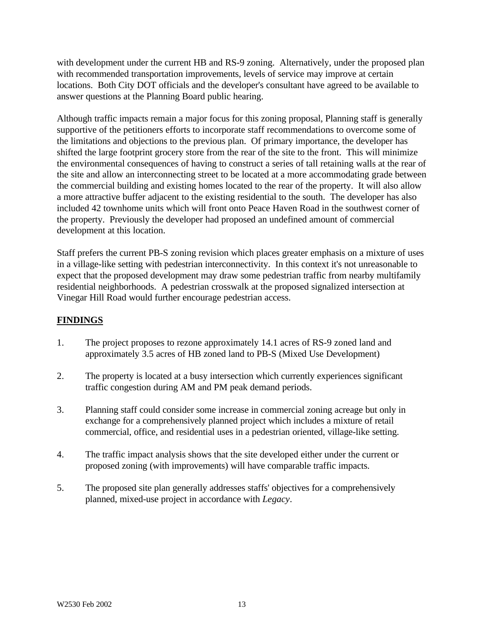with development under the current HB and RS-9 zoning. Alternatively, under the proposed plan with recommended transportation improvements, levels of service may improve at certain locations. Both City DOT officials and the developer's consultant have agreed to be available to answer questions at the Planning Board public hearing.

Although traffic impacts remain a major focus for this zoning proposal, Planning staff is generally supportive of the petitioners efforts to incorporate staff recommendations to overcome some of the limitations and objections to the previous plan. Of primary importance, the developer has shifted the large footprint grocery store from the rear of the site to the front. This will minimize the environmental consequences of having to construct a series of tall retaining walls at the rear of the site and allow an interconnecting street to be located at a more accommodating grade between the commercial building and existing homes located to the rear of the property. It will also allow a more attractive buffer adjacent to the existing residential to the south. The developer has also included 42 townhome units which will front onto Peace Haven Road in the southwest corner of the property. Previously the developer had proposed an undefined amount of commercial development at this location.

Staff prefers the current PB-S zoning revision which places greater emphasis on a mixture of uses in a village-like setting with pedestrian interconnectivity. In this context it's not unreasonable to expect that the proposed development may draw some pedestrian traffic from nearby multifamily residential neighborhoods. A pedestrian crosswalk at the proposed signalized intersection at Vinegar Hill Road would further encourage pedestrian access.

# **FINDINGS**

- 1. The project proposes to rezone approximately 14.1 acres of RS-9 zoned land and approximately 3.5 acres of HB zoned land to PB-S (Mixed Use Development)
- 2. The property is located at a busy intersection which currently experiences significant traffic congestion during AM and PM peak demand periods.
- 3. Planning staff could consider some increase in commercial zoning acreage but only in exchange for a comprehensively planned project which includes a mixture of retail commercial, office, and residential uses in a pedestrian oriented, village-like setting.
- 4. The traffic impact analysis shows that the site developed either under the current or proposed zoning (with improvements) will have comparable traffic impacts.
- 5. The proposed site plan generally addresses staffs' objectives for a comprehensively planned, mixed-use project in accordance with *Legacy*.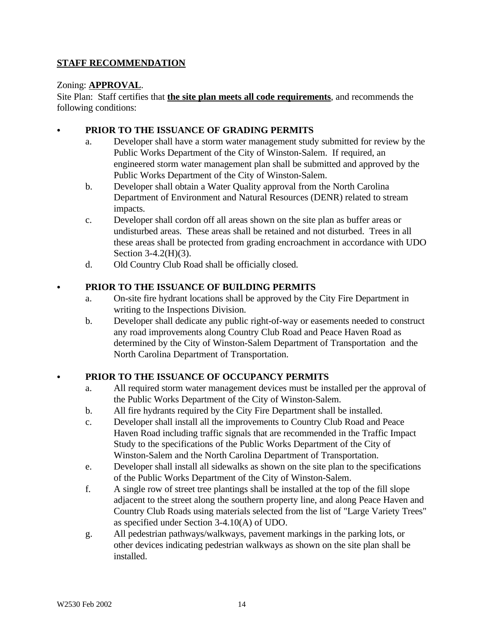# **STAFF RECOMMENDATION**

### Zoning: **APPROVAL**.

Site Plan: Staff certifies that **the site plan meets all code requirements**, and recommends the following conditions:

### PRIOR TO THE ISSUANCE OF GRADING PERMITS

- a. Developer shall have a storm water management study submitted for review by the Public Works Department of the City of Winston-Salem. If required, an engineered storm water management plan shall be submitted and approved by the Public Works Department of the City of Winston-Salem.
- b. Developer shall obtain a Water Quality approval from the North Carolina Department of Environment and Natural Resources (DENR) related to stream impacts.
- c. Developer shall cordon off all areas shown on the site plan as buffer areas or undisturbed areas. These areas shall be retained and not disturbed. Trees in all these areas shall be protected from grading encroachment in accordance with UDO Section 3-4.2(H)(3).
- d. Old Country Club Road shall be officially closed.

## PRIOR TO THE ISSUANCE OF BUILDING PERMITS

- a. On-site fire hydrant locations shall be approved by the City Fire Department in writing to the Inspections Division.
- b. Developer shall dedicate any public right-of-way or easements needed to construct any road improvements along Country Club Road and Peace Haven Road as determined by the City of Winston-Salem Department of Transportation and the North Carolina Department of Transportation.

## PRIOR TO THE ISSUANCE OF OCCUPANCY PERMITS

- a. All required storm water management devices must be installed per the approval of the Public Works Department of the City of Winston-Salem.
- b. All fire hydrants required by the City Fire Department shall be installed.
- c. Developer shall install all the improvements to Country Club Road and Peace Haven Road including traffic signals that are recommended in the Traffic Impact Study to the specifications of the Public Works Department of the City of Winston-Salem and the North Carolina Department of Transportation.
- e. Developer shall install all sidewalks as shown on the site plan to the specifications of the Public Works Department of the City of Winston-Salem.
- f. A single row of street tree plantings shall be installed at the top of the fill slope adjacent to the street along the southern property line, and along Peace Haven and Country Club Roads using materials selected from the list of "Large Variety Trees" as specified under Section 3-4.10(A) of UDO.
- g. All pedestrian pathways/walkways, pavement markings in the parking lots, or other devices indicating pedestrian walkways as shown on the site plan shall be installed.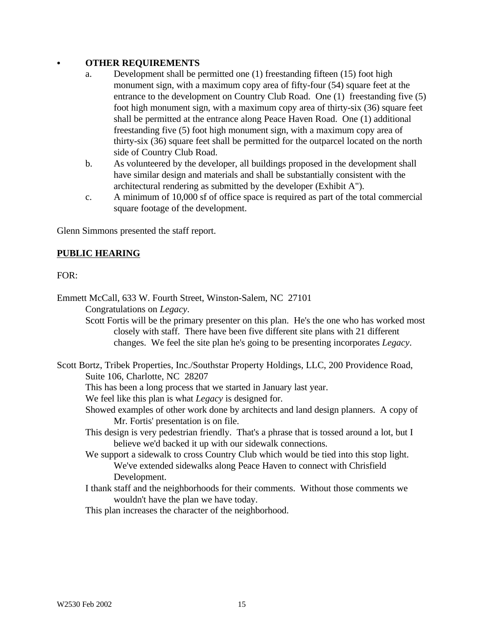#### C **OTHER REQUIREMENTS**

- a. Development shall be permitted one (1) freestanding fifteen (15) foot high monument sign, with a maximum copy area of fifty-four (54) square feet at the entrance to the development on Country Club Road. One (1) freestanding five (5) foot high monument sign, with a maximum copy area of thirty-six (36) square feet shall be permitted at the entrance along Peace Haven Road. One (1) additional freestanding five (5) foot high monument sign, with a maximum copy area of thirty-six (36) square feet shall be permitted for the outparcel located on the north side of Country Club Road.
- b. As volunteered by the developer, all buildings proposed in the development shall have similar design and materials and shall be substantially consistent with the architectural rendering as submitted by the developer (Exhibit A").
- c. A minimum of 10,000 sf of office space is required as part of the total commercial square footage of the development.

Glenn Simmons presented the staff report.

### **PUBLIC HEARING**

#### FOR:

Emmett McCall, 633 W. Fourth Street, Winston-Salem, NC 27101 Congratulations on *Legacy*.

> Scott Fortis will be the primary presenter on this plan. He's the one who has worked most closely with staff. There have been five different site plans with 21 different changes. We feel the site plan he's going to be presenting incorporates *Legacy*.

Scott Bortz, Tribek Properties, Inc./Southstar Property Holdings, LLC, 200 Providence Road, Suite 106, Charlotte, NC 28207 This has been a long process that we started in January last year. We feel like this plan is what *Legacy* is designed for. Showed examples of other work done by architects and land design planners. A copy of Mr. Fortis' presentation is on file. This design is very pedestrian friendly. That's a phrase that is tossed around a lot, but I believe we'd backed it up with our sidewalk connections. We support a sidewalk to cross Country Club which would be tied into this stop light. We've extended sidewalks along Peace Haven to connect with Chrisfield Development. I thank staff and the neighborhoods for their comments. Without those comments we wouldn't have the plan we have today.

This plan increases the character of the neighborhood.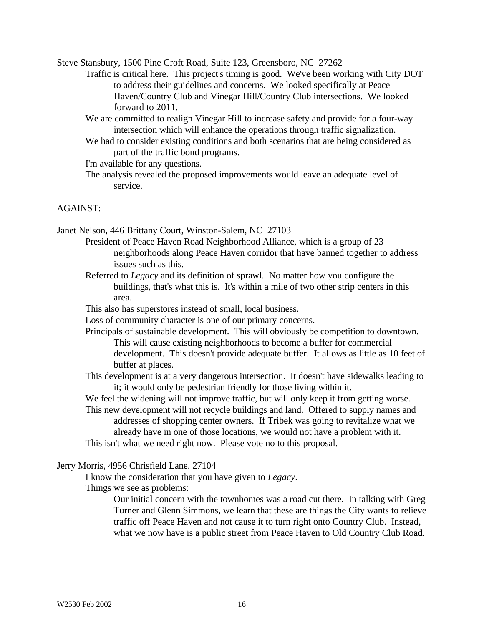Steve Stansbury, 1500 Pine Croft Road, Suite 123, Greensboro, NC 27262

- Traffic is critical here. This project's timing is good. We've been working with City DOT to address their guidelines and concerns. We looked specifically at Peace Haven/Country Club and Vinegar Hill/Country Club intersections. We looked forward to 2011.
- We are committed to realign Vinegar Hill to increase safety and provide for a four-way intersection which will enhance the operations through traffic signalization.
- We had to consider existing conditions and both scenarios that are being considered as part of the traffic bond programs.

I'm available for any questions.

The analysis revealed the proposed improvements would leave an adequate level of service.

#### AGAINST:

Janet Nelson, 446 Brittany Court, Winston-Salem, NC 27103

- President of Peace Haven Road Neighborhood Alliance, which is a group of 23 neighborhoods along Peace Haven corridor that have banned together to address issues such as this.
	- Referred to *Legacy* and its definition of sprawl. No matter how you configure the buildings, that's what this is. It's within a mile of two other strip centers in this area.
	- This also has superstores instead of small, local business.
	- Loss of community character is one of our primary concerns.
	- Principals of sustainable development. This will obviously be competition to downtown. This will cause existing neighborhoods to become a buffer for commercial development. This doesn't provide adequate buffer. It allows as little as 10 feet of buffer at places.
	- This development is at a very dangerous intersection. It doesn't have sidewalks leading to it; it would only be pedestrian friendly for those living within it.

We feel the widening will not improve traffic, but will only keep it from getting worse.

This new development will not recycle buildings and land. Offered to supply names and addresses of shopping center owners. If Tribek was going to revitalize what we already have in one of those locations, we would not have a problem with it.

This isn't what we need right now. Please vote no to this proposal.

#### Jerry Morris, 4956 Chrisfield Lane, 27104

I know the consideration that you have given to *Legacy*.

Things we see as problems:

Our initial concern with the townhomes was a road cut there. In talking with Greg Turner and Glenn Simmons, we learn that these are things the City wants to relieve traffic off Peace Haven and not cause it to turn right onto Country Club. Instead, what we now have is a public street from Peace Haven to Old Country Club Road.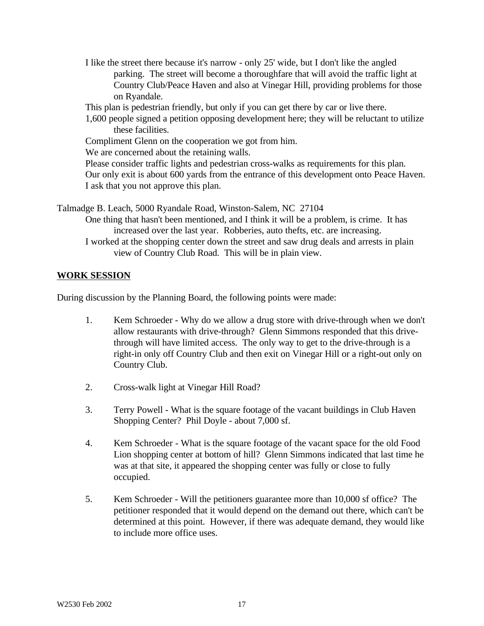I like the street there because it's narrow - only 25' wide, but I don't like the angled parking. The street will become a thoroughfare that will avoid the traffic light at Country Club/Peace Haven and also at Vinegar Hill, providing problems for those on Ryandale.

This plan is pedestrian friendly, but only if you can get there by car or live there.

1,600 people signed a petition opposing development here; they will be reluctant to utilize these facilities.

Compliment Glenn on the cooperation we got from him.

We are concerned about the retaining walls.

Please consider traffic lights and pedestrian cross-walks as requirements for this plan. Our only exit is about 600 yards from the entrance of this development onto Peace Haven. I ask that you not approve this plan.

Talmadge B. Leach, 5000 Ryandale Road, Winston-Salem, NC 27104

One thing that hasn't been mentioned, and I think it will be a problem, is crime. It has increased over the last year. Robberies, auto thefts, etc. are increasing.

I worked at the shopping center down the street and saw drug deals and arrests in plain view of Country Club Road. This will be in plain view.

### **WORK SESSION**

During discussion by the Planning Board, the following points were made:

- 1. Kem Schroeder Why do we allow a drug store with drive-through when we don't allow restaurants with drive-through? Glenn Simmons responded that this drivethrough will have limited access. The only way to get to the drive-through is a right-in only off Country Club and then exit on Vinegar Hill or a right-out only on Country Club.
- 2. Cross-walk light at Vinegar Hill Road?
- 3. Terry Powell What is the square footage of the vacant buildings in Club Haven Shopping Center? Phil Doyle - about 7,000 sf.
- 4. Kem Schroeder What is the square footage of the vacant space for the old Food Lion shopping center at bottom of hill? Glenn Simmons indicated that last time he was at that site, it appeared the shopping center was fully or close to fully occupied.
- 5. Kem Schroeder Will the petitioners guarantee more than 10,000 sf office? The petitioner responded that it would depend on the demand out there, which can't be determined at this point. However, if there was adequate demand, they would like to include more office uses.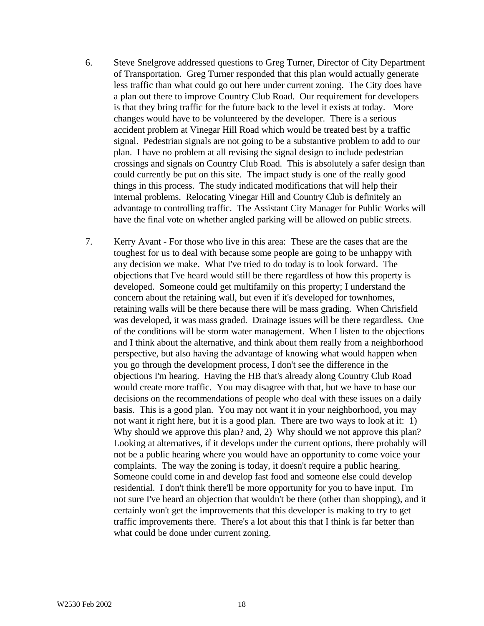- 6. Steve Snelgrove addressed questions to Greg Turner, Director of City Department of Transportation. Greg Turner responded that this plan would actually generate less traffic than what could go out here under current zoning. The City does have a plan out there to improve Country Club Road. Our requirement for developers is that they bring traffic for the future back to the level it exists at today. More changes would have to be volunteered by the developer. There is a serious accident problem at Vinegar Hill Road which would be treated best by a traffic signal. Pedestrian signals are not going to be a substantive problem to add to our plan. I have no problem at all revising the signal design to include pedestrian crossings and signals on Country Club Road. This is absolutely a safer design than could currently be put on this site. The impact study is one of the really good things in this process. The study indicated modifications that will help their internal problems. Relocating Vinegar Hill and Country Club is definitely an advantage to controlling traffic. The Assistant City Manager for Public Works will have the final vote on whether angled parking will be allowed on public streets.
- 7. Kerry Avant For those who live in this area: These are the cases that are the toughest for us to deal with because some people are going to be unhappy with any decision we make. What I've tried to do today is to look forward. The objections that I've heard would still be there regardless of how this property is developed. Someone could get multifamily on this property; I understand the concern about the retaining wall, but even if it's developed for townhomes, retaining walls will be there because there will be mass grading. When Chrisfield was developed, it was mass graded. Drainage issues will be there regardless. One of the conditions will be storm water management. When I listen to the objections and I think about the alternative, and think about them really from a neighborhood perspective, but also having the advantage of knowing what would happen when you go through the development process, I don't see the difference in the objections I'm hearing. Having the HB that's already along Country Club Road would create more traffic. You may disagree with that, but we have to base our decisions on the recommendations of people who deal with these issues on a daily basis. This is a good plan. You may not want it in your neighborhood, you may not want it right here, but it is a good plan. There are two ways to look at it: 1) Why should we approve this plan? and, 2) Why should we not approve this plan? Looking at alternatives, if it develops under the current options, there probably will not be a public hearing where you would have an opportunity to come voice your complaints. The way the zoning is today, it doesn't require a public hearing. Someone could come in and develop fast food and someone else could develop residential. I don't think there'll be more opportunity for you to have input. I'm not sure I've heard an objection that wouldn't be there (other than shopping), and it certainly won't get the improvements that this developer is making to try to get traffic improvements there. There's a lot about this that I think is far better than what could be done under current zoning.